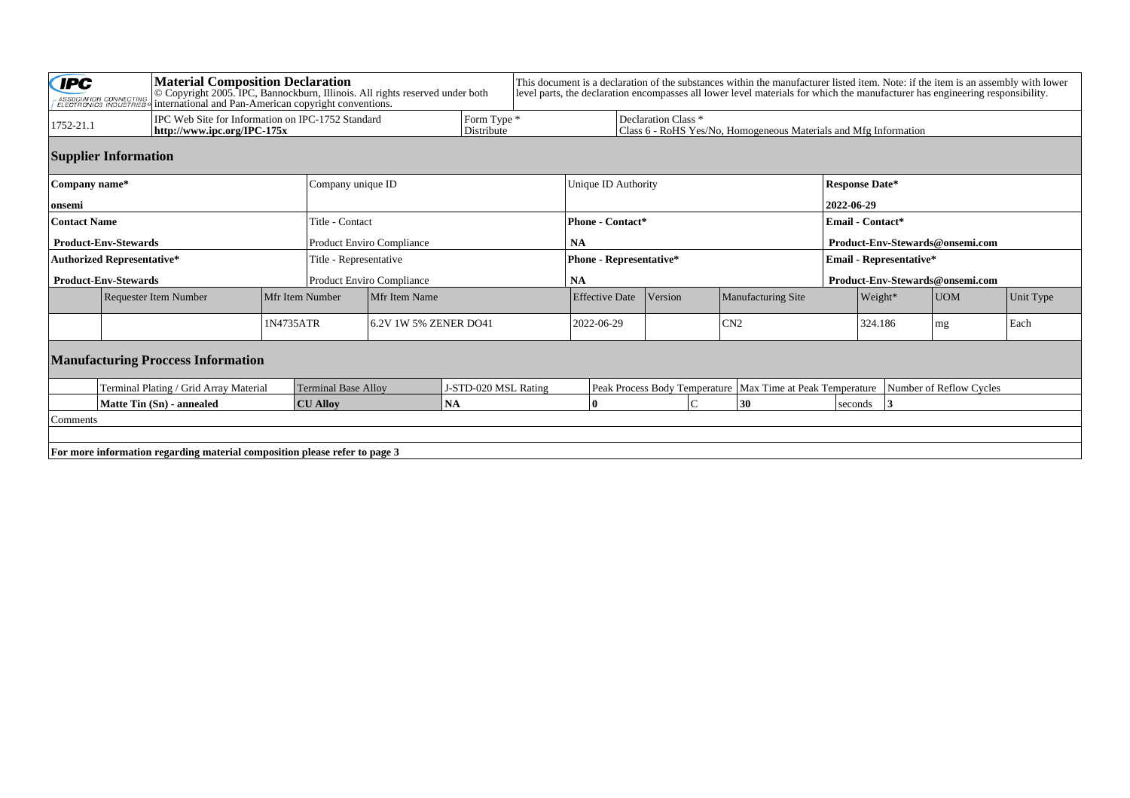| <b>CIPC</b><br><b>Material Composition Declaration</b><br>© Copyright 2005. IPC, Bannockburn, Illinois. All rights reserved under both<br>ASSOCIATION CONNECTING<br>ELECTRONICS INDUSTRIES<br>international and Pan-American copyright conventions. |                                                                                  |  |                                                    |                           | This document is a declaration of the substances within the manufacturer listed item. Note: if the item is an assembly with lower<br>level parts, the declaration encompasses all lower level materials for which the manufacturer has engineering responsibility. |                                                                                                    |                       |                                |                         |         |                           |                                 |           |  |  |
|-----------------------------------------------------------------------------------------------------------------------------------------------------------------------------------------------------------------------------------------------------|----------------------------------------------------------------------------------|--|----------------------------------------------------|---------------------------|--------------------------------------------------------------------------------------------------------------------------------------------------------------------------------------------------------------------------------------------------------------------|----------------------------------------------------------------------------------------------------|-----------------------|--------------------------------|-------------------------|---------|---------------------------|---------------------------------|-----------|--|--|
| 1752-21.1                                                                                                                                                                                                                                           | IPC Web Site for Information on IPC-1752 Standard<br>http://www.ipc.org/IPC-175x |  |                                                    |                           | Form Type *<br>Distribute                                                                                                                                                                                                                                          | Declaration Class <sup>*</sup><br>Class 6 - RoHS Yes/No, Homogeneous Materials and Mfg Information |                       |                                |                         |         |                           |                                 |           |  |  |
| <b>Supplier Information</b>                                                                                                                                                                                                                         |                                                                                  |  |                                                    |                           |                                                                                                                                                                                                                                                                    |                                                                                                    |                       |                                |                         |         |                           |                                 |           |  |  |
| Company name*                                                                                                                                                                                                                                       |                                                                                  |  |                                                    |                           | Company unique ID                                                                                                                                                                                                                                                  |                                                                                                    |                       | Unique ID Authority            |                         |         |                           | <b>Response Date*</b>           |           |  |  |
| onsemi                                                                                                                                                                                                                                              |                                                                                  |  |                                                    |                           |                                                                                                                                                                                                                                                                    |                                                                                                    |                       |                                |                         |         |                           | 2022-06-29                      |           |  |  |
| <b>Contact Name</b>                                                                                                                                                                                                                                 |                                                                                  |  |                                                    |                           | Title - Contact                                                                                                                                                                                                                                                    |                                                                                                    |                       | <b>Phone - Contact*</b>        |                         |         |                           | <b>Email - Contact*</b>         |           |  |  |
|                                                                                                                                                                                                                                                     | <b>Product-Env-Stewards</b>                                                      |  |                                                    |                           | <b>Product Enviro Compliance</b>                                                                                                                                                                                                                                   |                                                                                                    |                       | <b>NA</b>                      |                         |         |                           | Product-Env-Stewards@onsemi.com |           |  |  |
|                                                                                                                                                                                                                                                     | <b>Authorized Representative*</b>                                                |  |                                                    |                           | Title - Representative                                                                                                                                                                                                                                             |                                                                                                    |                       | <b>Phone - Representative*</b> |                         |         |                           | <b>Email - Representative*</b>  |           |  |  |
| <b>Product-Env-Stewards</b>                                                                                                                                                                                                                         |                                                                                  |  |                                                    | Product Enviro Compliance |                                                                                                                                                                                                                                                                    |                                                                                                    |                       | <b>NA</b>                      |                         |         |                           | Product-Env-Stewards@onsemi.com |           |  |  |
|                                                                                                                                                                                                                                                     | Requester Item Number<br>Mfr Item Number                                         |  | Mfr Item Name                                      |                           |                                                                                                                                                                                                                                                                    |                                                                                                    | <b>Effective Date</b> | Version                        | Manufacturing Site      | Weight* |                           | UOM                             | Unit Type |  |  |
|                                                                                                                                                                                                                                                     | 1N4735ATR                                                                        |  |                                                    | 6.2V 1W 5% ZENER DO41     |                                                                                                                                                                                                                                                                    |                                                                                                    | 2022-06-29            |                                | CN2                     |         |                           | $\lfloor mg \rfloor$            | Each      |  |  |
| <b>Manufacturing Proccess Information</b>                                                                                                                                                                                                           |                                                                                  |  |                                                    |                           |                                                                                                                                                                                                                                                                    |                                                                                                    |                       |                                |                         |         |                           |                                 |           |  |  |
| Terminal Plating / Grid Array Material                                                                                                                                                                                                              |                                                                                  |  | J-STD-020 MSL Rating<br><b>Terminal Base Alloy</b> |                           |                                                                                                                                                                                                                                                                    | Peak Process Body Temperature   Max Time at Peak Temperature                                       |                       |                                | Number of Reflow Cycles |         |                           |                                 |           |  |  |
| Matte Tin (Sn) - annealed<br><b>CU Alloy</b>                                                                                                                                                                                                        |                                                                                  |  |                                                    |                           | <b>NA</b>                                                                                                                                                                                                                                                          |                                                                                                    |                       | 30<br>l O                      |                         |         | seconds<br>$\overline{3}$ |                                 |           |  |  |
| Comments                                                                                                                                                                                                                                            |                                                                                  |  |                                                    |                           |                                                                                                                                                                                                                                                                    |                                                                                                    |                       |                                |                         |         |                           |                                 |           |  |  |
|                                                                                                                                                                                                                                                     |                                                                                  |  |                                                    |                           |                                                                                                                                                                                                                                                                    |                                                                                                    |                       |                                |                         |         |                           |                                 |           |  |  |
| For more information regarding material composition please refer to page 3                                                                                                                                                                          |                                                                                  |  |                                                    |                           |                                                                                                                                                                                                                                                                    |                                                                                                    |                       |                                |                         |         |                           |                                 |           |  |  |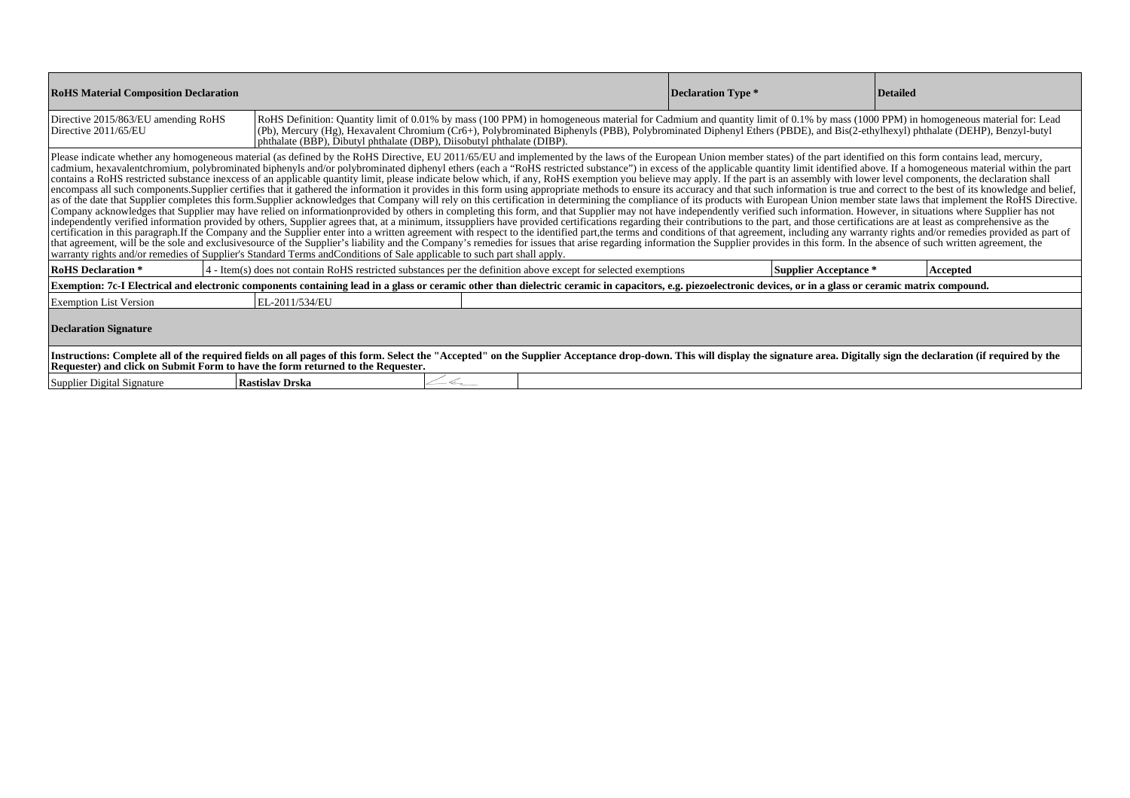| <b>RoHS Material Composition Declaration</b>                                                                                                                                                                                                                                                                                                                                                                                                                                                                                                                                                                                                                                                                                                                                                                                                                                                                                                                                                                                                                                                                                                                                                                                                                                                                                                                                                                                                                                                                                                                                                                                                                                                                                                                                                                                                                                                                                                                                                                                                                                                                                                                                                                                              |                 |                                                                                                                                                                                                                 | Declaration Type * | <b>Detailed</b>       |          |  |  |  |  |  |  |
|-------------------------------------------------------------------------------------------------------------------------------------------------------------------------------------------------------------------------------------------------------------------------------------------------------------------------------------------------------------------------------------------------------------------------------------------------------------------------------------------------------------------------------------------------------------------------------------------------------------------------------------------------------------------------------------------------------------------------------------------------------------------------------------------------------------------------------------------------------------------------------------------------------------------------------------------------------------------------------------------------------------------------------------------------------------------------------------------------------------------------------------------------------------------------------------------------------------------------------------------------------------------------------------------------------------------------------------------------------------------------------------------------------------------------------------------------------------------------------------------------------------------------------------------------------------------------------------------------------------------------------------------------------------------------------------------------------------------------------------------------------------------------------------------------------------------------------------------------------------------------------------------------------------------------------------------------------------------------------------------------------------------------------------------------------------------------------------------------------------------------------------------------------------------------------------------------------------------------------------------|-----------------|-----------------------------------------------------------------------------------------------------------------------------------------------------------------------------------------------------------------|--------------------|-----------------------|----------|--|--|--|--|--|--|
| RoHS Definition: Quantity limit of 0.01% by mass (100 PPM) in homogeneous material for Cadmium and quantity limit of 0.1% by mass (1000 PPM) in homogeneous material for: Lead<br>Directive 2015/863/EU amending RoHS<br>(Pb), Mercury (Hg), Hexavalent Chromium (Cr6+), Polybrominated Biphenyls (PBB), Polybrominated Diphenyl Ethers (PBDE), and Bis(2-ethylhexyl) phthalate (DEHP), Benzyl-butyl<br>Directive 2011/65/EU<br>phthalate (BBP), Dibutyl phthalate (DBP), Diisobutyl phthalate (DIBP).                                                                                                                                                                                                                                                                                                                                                                                                                                                                                                                                                                                                                                                                                                                                                                                                                                                                                                                                                                                                                                                                                                                                                                                                                                                                                                                                                                                                                                                                                                                                                                                                                                                                                                                                    |                 |                                                                                                                                                                                                                 |                    |                       |          |  |  |  |  |  |  |
| Please indicate whether any homogeneous material (as defined by the RoHS Directive, EU 2011/65/EU and implemented by the laws of the European Union member states) of the part identified on this form contains lead, mercury,<br>cadmium, hexavalentchromium, polybrominated biphenyls and/or polybrominated diphenyl ethers (each a "RoHS restricted substance") in excess of the applicable quantity limit identified above. If a homogeneous material within<br>contains a RoHS restricted substance inexcess of an applicable quantity limit, please indicate below which, if any, RoHS exemption you believe may apply. If the part is an assembly with lower level components, the declarat<br>encompass all such components. Supplier certifies that it gathered the information it provides in this form using appropriate methods to ensure its accuracy and that such information is true and correct to the best of its<br>as of the date that Supplier completes this form.Supplier acknowledges that Company will rely on this certification in determining the compliance of its products with European Union member state laws that implement the RoH<br>Company acknowledges that Supplier may have relied on informationprovided by others in completing this form, and that Supplier may not have independently verified such information. However, in situations where Supplier has<br>independently verified information provided by others, Supplier agrees that, at a minimum, itssuppliers have provided certifications regarding their contributions to the part, and those certifications are at least as compr<br>certification in this paragraph. If the Company and the Supplier enter into a written agreement with respect to the identified part, the terms and conditions of that agreement, including any warranty rights and/or remedies<br>that agreement, will be the sole and exclusives ource of the Supplier's liability and the Company's remedies for issues that arise regarding information the Supplier provides in this form. In the absence of such written ag<br>warranty rights and/or remedies of Supplier's Standard Terms and Conditions of Sale applicable to such part shall apply. |                 |                                                                                                                                                                                                                 |                    |                       |          |  |  |  |  |  |  |
| <b>RoHS Declaration *</b>                                                                                                                                                                                                                                                                                                                                                                                                                                                                                                                                                                                                                                                                                                                                                                                                                                                                                                                                                                                                                                                                                                                                                                                                                                                                                                                                                                                                                                                                                                                                                                                                                                                                                                                                                                                                                                                                                                                                                                                                                                                                                                                                                                                                                 |                 | 4 - Item(s) does not contain RoHS restricted substances per the definition above except for selected exemptions                                                                                                 |                    | Supplier Acceptance * | Accepted |  |  |  |  |  |  |
|                                                                                                                                                                                                                                                                                                                                                                                                                                                                                                                                                                                                                                                                                                                                                                                                                                                                                                                                                                                                                                                                                                                                                                                                                                                                                                                                                                                                                                                                                                                                                                                                                                                                                                                                                                                                                                                                                                                                                                                                                                                                                                                                                                                                                                           |                 | Exemption: 7c-I Electrical and electronic components containing lead in a glass or ceramic other than dielectric ceramic in capacitors, e.g. piezoelectronic devices, or in a glass or ceramic matrix compound. |                    |                       |          |  |  |  |  |  |  |
| <b>Exemption List Version</b>                                                                                                                                                                                                                                                                                                                                                                                                                                                                                                                                                                                                                                                                                                                                                                                                                                                                                                                                                                                                                                                                                                                                                                                                                                                                                                                                                                                                                                                                                                                                                                                                                                                                                                                                                                                                                                                                                                                                                                                                                                                                                                                                                                                                             | EL-2011/534/EU  |                                                                                                                                                                                                                 |                    |                       |          |  |  |  |  |  |  |
| <b>Declaration Signature</b>                                                                                                                                                                                                                                                                                                                                                                                                                                                                                                                                                                                                                                                                                                                                                                                                                                                                                                                                                                                                                                                                                                                                                                                                                                                                                                                                                                                                                                                                                                                                                                                                                                                                                                                                                                                                                                                                                                                                                                                                                                                                                                                                                                                                              |                 |                                                                                                                                                                                                                 |                    |                       |          |  |  |  |  |  |  |
| Instructions: Complete all of the required fields on all pages of this form. Select the "Accepted" on the Supplier Acceptance drop-down. This will display the signature area. Digitally sign the declaration (if required by<br>Requester) and click on Submit Form to have the form returned to the Requester.                                                                                                                                                                                                                                                                                                                                                                                                                                                                                                                                                                                                                                                                                                                                                                                                                                                                                                                                                                                                                                                                                                                                                                                                                                                                                                                                                                                                                                                                                                                                                                                                                                                                                                                                                                                                                                                                                                                          |                 |                                                                                                                                                                                                                 |                    |                       |          |  |  |  |  |  |  |
| Supplier Digital Signature                                                                                                                                                                                                                                                                                                                                                                                                                                                                                                                                                                                                                                                                                                                                                                                                                                                                                                                                                                                                                                                                                                                                                                                                                                                                                                                                                                                                                                                                                                                                                                                                                                                                                                                                                                                                                                                                                                                                                                                                                                                                                                                                                                                                                | Rastislav Drska | $-\epsilon$                                                                                                                                                                                                     |                    |                       |          |  |  |  |  |  |  |